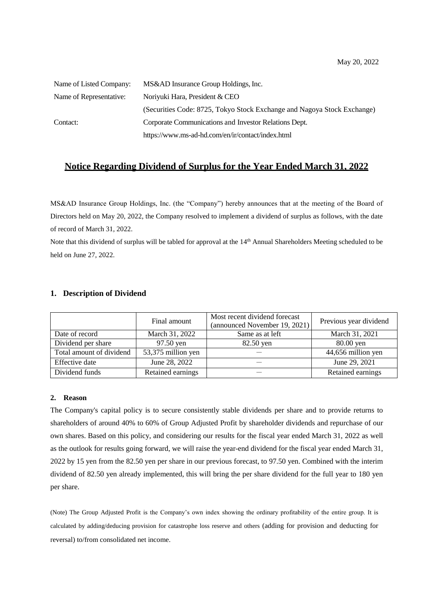| Name of Listed Company: | MS&AD Insurance Group Holdings, Inc.                                    |
|-------------------------|-------------------------------------------------------------------------|
| Name of Representative: | Noriyuki Hara, President & CEO                                          |
|                         | (Securities Code: 8725, Tokyo Stock Exchange and Nagoya Stock Exchange) |
| Contact:                | Corporate Communications and Investor Relations Dept.                   |
|                         | https://www.ms-ad-hd.com/en/ir/contact/index.html                       |

## **Notice Regarding Dividend of Surplus for the Year Ended March 31, 2022**

MS&AD Insurance Group Holdings, Inc. (the "Company") hereby announces that at the meeting of the Board of Directors held on May 20, 2022, the Company resolved to implement a dividend of surplus as follows, with the date of record of March 31, 2022.

Note that this dividend of surplus will be tabled for approval at the  $14<sup>th</sup>$  Annual Shareholders Meeting scheduled to be held on June 27, 2022.

## **1. Description of Dividend**

|                          | Final amount       | Most recent dividend forecast<br>(announced November 19, 2021) | Previous year dividend |  |
|--------------------------|--------------------|----------------------------------------------------------------|------------------------|--|
| Date of record           | March 31, 2022     | Same as at left                                                | March 31, 2021         |  |
| Dividend per share       | 97.50 yen          | 82.50 yen                                                      | 80.00 yen              |  |
| Total amount of dividend | 53,375 million yen |                                                                | 44,656 million yen     |  |
| Effective date           | June 28, 2022      |                                                                | June 29, 2021          |  |
| Dividend funds           | Retained earnings  |                                                                | Retained earnings      |  |

## **2. Reason**

The Company's capital policy is to secure consistently stable dividends per share and to provide returns to shareholders of around 40% to 60% of Group Adjusted Profit by shareholder dividends and repurchase of our own shares. Based on this policy, and considering our results for the fiscal year ended March 31, 2022 as well as the outlook for results going forward, we will raise the year-end dividend for the fiscal year ended March 31, 2022 by 15 yen from the 82.50 yen per share in our previous forecast, to 97.50 yen. Combined with the interim dividend of 82.50 yen already implemented, this will bring the per share dividend for the full year to 180 yen per share.

(Note) The Group Adjusted Profit is the Company's own index showing the ordinary profitability of the entire group. It is calculated by adding/deducing provision for catastrophe loss reserve and others (adding for provision and deducting for reversal) to/from consolidated net income.